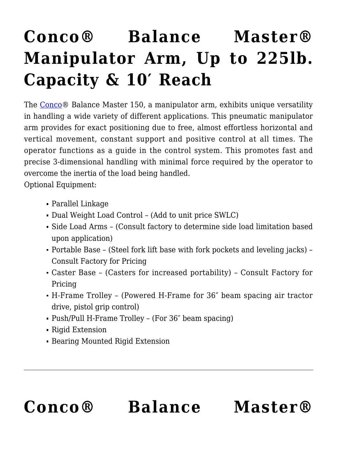## **[Conco® Balance Master®](https://concojibs.com/product/balance-master-150-series/) [Manipulator Arm, Up to 225lb.](https://concojibs.com/product/balance-master-150-series/) [Capacity & 10′ Reach](https://concojibs.com/product/balance-master-150-series/)**

The [Conco®](http://concojibs.positech.com/about-conco/) Balance Master 150, a manipulator arm, exhibits unique versatility in handling a wide variety of different applications. This pneumatic manipulator arm provides for exact positioning due to free, almost effortless horizontal and vertical movement, constant support and positive control at all times. The operator functions as a guide in the control system. This promotes fast and precise 3-dimensional handling with minimal force required by the operator to overcome the inertia of the load being handled.

Optional Equipment:

- Parallel Linkage
- Dual Weight Load Control (Add to unit price SWLC)
- Side Load Arms (Consult factory to determine side load limitation based upon application)
- Portable Base (Steel fork lift base with fork pockets and leveling jacks) Consult Factory for Pricing
- Caster Base (Casters for increased portability) Consult Factory for Pricing
- H-Frame Trolley (Powered H-Frame for 36″ beam spacing air tractor drive, pistol grip control)
- Push/Pull H-Frame Trolley (For 36″ beam spacing)
- Rigid Extension
- Bearing Mounted Rigid Extension

## **[Conco® Balance Master®](https://concojibs.com/product/balance-master-400-series/)**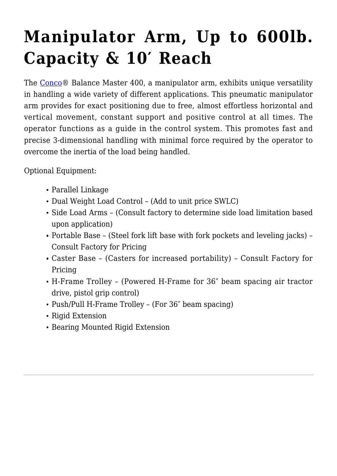## **[Manipulator Arm, Up to 600lb.](https://concojibs.com/product/balance-master-400-series/) [Capacity & 10′ Reach](https://concojibs.com/product/balance-master-400-series/)**

The [Conco®](http://concojibs.positech.com/about-conco/) Balance Master 400, a manipulator arm, exhibits unique versatility in handling a wide variety of different applications. This pneumatic manipulator arm provides for exact positioning due to free, almost effortless horizontal and vertical movement, constant support and positive control at all times. The operator functions as a guide in the control system. This promotes fast and precise 3-dimensional handling with minimal force required by the operator to overcome the inertia of the load being handled.

Optional Equipment:

- Parallel Linkage
- Dual Weight Load Control (Add to unit price SWLC)
- Side Load Arms (Consult factory to determine side load limitation based upon application)
- Portable Base (Steel fork lift base with fork pockets and leveling jacks) Consult Factory for Pricing
- Caster Base (Casters for increased portability) Consult Factory for Pricing
- H-Frame Trolley (Powered H-Frame for 36″ beam spacing air tractor drive, pistol grip control)
- Push/Pull H-Frame Trolley (For 36″ beam spacing)
- Rigid Extension
- Bearing Mounted Rigid Extension